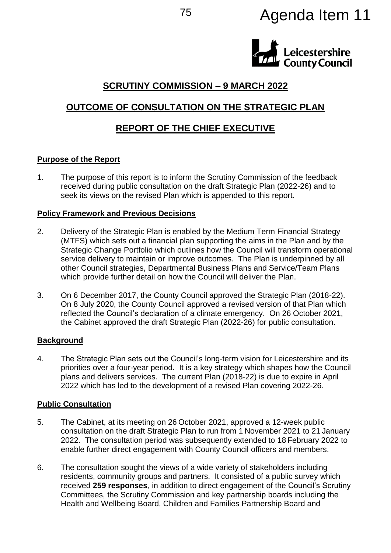# <sup>75</sup> Agenda Item 11



# **SCRUTINY COMMISSION – 9 MARCH 2022**

# **OUTCOME OF CONSULTATION ON THE STRATEGIC PLAN**

# **REPORT OF THE CHIEF EXECUTIVE**

#### **Purpose of the Report**

1. The purpose of this report is to inform the Scrutiny Commission of the feedback received during public consultation on the draft Strategic Plan (2022-26) and to seek its views on the revised Plan which is appended to this report.

#### **Policy Framework and Previous Decisions**

- 2. Delivery of the Strategic Plan is enabled by the Medium Term Financial Strategy (MTFS) which sets out a financial plan supporting the aims in the Plan and by the Strategic Change Portfolio which outlines how the Council will transform operational service delivery to maintain or improve outcomes. The Plan is underpinned by all other Council strategies, Departmental Business Plans and Service/Team Plans which provide further detail on how the Council will deliver the Plan.
- 3. On 6 December 2017, the County Council approved the Strategic Plan (2018-22). On 8 July 2020, the County Council approved a revised version of that Plan which reflected the Council's declaration of a climate emergency. On 26 October 2021, the Cabinet approved the draft Strategic Plan (2022-26) for public consultation.

## **Background**

4. The Strategic Plan sets out the Council's long-term vision for Leicestershire and its priorities over a four-year period. It is a key strategy which shapes how the Council plans and delivers services. The current Plan (2018-22) is due to expire in April 2022 which has led to the development of a revised Plan covering 2022-26.

#### **Public Consultation**

- 5. The Cabinet, at its meeting on 26 October 2021, approved a 12-week public consultation on the draft Strategic Plan to run from 1 November 2021 to 21 January 2022. The consultation period was subsequently extended to 18 February 2022 to enable further direct engagement with County Council officers and members.
- 6. The consultation sought the views of a wide variety of stakeholders including residents, community groups and partners. It consisted of a public survey which received **259 responses**, in addition to direct engagement of the Council's Scrutiny Committees, the Scrutiny Commission and key partnership boards including the Health and Wellbeing Board, Children and Families Partnership Board and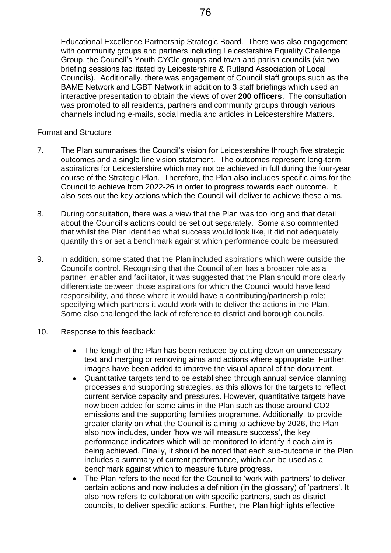Educational Excellence Partnership Strategic Board. There was also engagement with community groups and partners including Leicestershire Equality Challenge Group, the Council's Youth CYCle groups and town and parish councils (via two briefing sessions facilitated by Leicestershire & Rutland Association of Local Councils). Additionally, there was engagement of Council staff groups such as the BAME Network and LGBT Network in addition to 3 staff briefings which used an interactive presentation to obtain the views of over **200 officers**. The consultation was promoted to all residents, partners and community groups through various channels including e-mails, social media and articles in Leicestershire Matters.

#### Format and Structure

- 7. The Plan summarises the Council's vision for Leicestershire through five strategic outcomes and a single line vision statement. The outcomes represent long-term aspirations for Leicestershire which may not be achieved in full during the four-year course of the Strategic Plan. Therefore, the Plan also includes specific aims for the Council to achieve from 2022-26 in order to progress towards each outcome. It also sets out the key actions which the Council will deliver to achieve these aims.
- 8. During consultation, there was a view that the Plan was too long and that detail about the Council's actions could be set out separately. Some also commented that whilst the Plan identified what success would look like, it did not adequately quantify this or set a benchmark against which performance could be measured.
- 9. In addition, some stated that the Plan included aspirations which were outside the Council's control. Recognising that the Council often has a broader role as a partner, enabler and facilitator, it was suggested that the Plan should more clearly differentiate between those aspirations for which the Council would have lead responsibility, and those where it would have a contributing/partnership role; specifying which partners it would work with to deliver the actions in the Plan. Some also challenged the lack of reference to district and borough councils.
- 10. Response to this feedback:
	- The length of the Plan has been reduced by cutting down on unnecessary text and merging or removing aims and actions where appropriate. Further, images have been added to improve the visual appeal of the document.
	- Quantitative targets tend to be established through annual service planning processes and supporting strategies, as this allows for the targets to reflect current service capacity and pressures. However, quantitative targets have now been added for some aims in the Plan such as those around CO2 emissions and the supporting families programme. Additionally, to provide greater clarity on what the Council is aiming to achieve by 2026, the Plan also now includes, under 'how we will measure success', the key performance indicators which will be monitored to identify if each aim is being achieved. Finally, it should be noted that each sub-outcome in the Plan includes a summary of current performance, which can be used as a benchmark against which to measure future progress.
	- The Plan refers to the need for the Council to 'work with partners' to deliver certain actions and now includes a definition (in the glossary) of 'partners'. It also now refers to collaboration with specific partners, such as district councils, to deliver specific actions. Further, the Plan highlights effective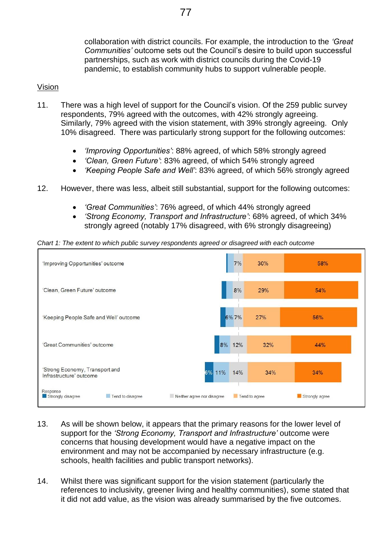77

collaboration with district councils. For example, the introduction to the *'Great Communities'* outcome sets out the Council's desire to build upon successful partnerships, such as work with district councils during the Covid-19 pandemic, to establish community hubs to support vulnerable people.

## Vision

- 11. There was a high level of support for the Council's vision. Of the 259 public survey respondents, 79% agreed with the outcomes, with 42% strongly agreeing. Similarly, 79% agreed with the vision statement, with 39% strongly agreeing. Only 10% disagreed. There was particularly strong support for the following outcomes:
	- *'Improving Opportunities'*: 88% agreed, of which 58% strongly agreed
	- *'Clean, Green Future'*: 83% agreed, of which 54% strongly agreed
	- *'Keeping People Safe and Well'*: 83% agreed, of which 56% strongly agreed
- 12. However, there was less, albeit still substantial, support for the following outcomes:
	- *'Great Communities'*: 76% agreed, of which 44% strongly agreed
	- *'Strong Economy, Transport and Infrastructure'*: 68% agreed, of which 34% strongly agreed (notably 17% disagreed, with 6% strongly disagreeing)

*Chart 1: The extent to which public survey respondents agreed or disagreed with each outcome*



- 13. As will be shown below, it appears that the primary reasons for the lower level of support for the *'Strong Economy, Transport and Infrastructure'* outcome were concerns that housing development would have a negative impact on the environment and may not be accompanied by necessary infrastructure (e.g. schools, health facilities and public transport networks).
- 14. Whilst there was significant support for the vision statement (particularly the references to inclusivity, greener living and healthy communities), some stated that it did not add value, as the vision was already summarised by the five outcomes.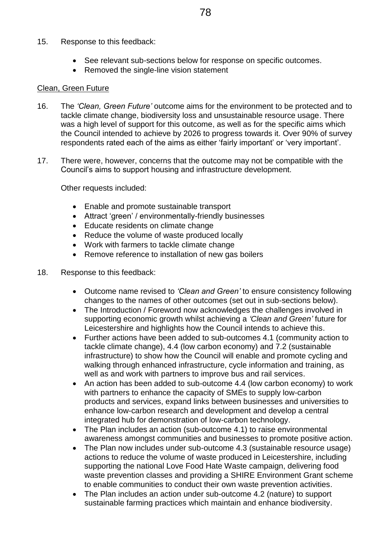#### 15. Response to this feedback:

- See relevant sub-sections below for response on specific outcomes.
- Removed the single-line vision statement

#### Clean, Green Future

- 16. The *'Clean, Green Future'* outcome aims for the environment to be protected and to tackle climate change, biodiversity loss and unsustainable resource usage. There was a high level of support for this outcome, as well as for the specific aims which the Council intended to achieve by 2026 to progress towards it. Over 90% of survey respondents rated each of the aims as either 'fairly important' or 'very important'.
- 17. There were, however, concerns that the outcome may not be compatible with the Council's aims to support housing and infrastructure development.

Other requests included:

- Enable and promote sustainable transport
- Attract 'green' / environmentally-friendly businesses
- Educate residents on climate change
- Reduce the volume of waste produced locally
- Work with farmers to tackle climate change
- Remove reference to installation of new gas boilers
- 18. Response to this feedback:
	- Outcome name revised to *'Clean and Green'* to ensure consistency following changes to the names of other outcomes (set out in sub-sections below).
	- The Introduction / Foreword now acknowledges the challenges involved in supporting economic growth whilst achieving a *'Clean and Green'* future for Leicestershire and highlights how the Council intends to achieve this.
	- Further actions have been added to sub-outcomes 4.1 (community action to tackle climate change), 4.4 (low carbon economy) and 7.2 (sustainable infrastructure) to show how the Council will enable and promote cycling and walking through enhanced infrastructure, cycle information and training, as well as and work with partners to improve bus and rail services.
	- An action has been added to sub-outcome 4.4 (low carbon economy) to work with partners to enhance the capacity of SMEs to supply low-carbon products and services, expand links between businesses and universities to enhance low-carbon research and development and develop a central integrated hub for demonstration of low-carbon technology.
	- The Plan includes an action (sub-outcome 4.1) to raise environmental awareness amongst communities and businesses to promote positive action.
	- The Plan now includes under sub-outcome 4.3 (sustainable resource usage) actions to reduce the volume of waste produced in Leicestershire, including supporting the national Love Food Hate Waste campaign, delivering food waste prevention classes and providing a SHIRE Environment Grant scheme to enable communities to conduct their own waste prevention activities.
	- The Plan includes an action under sub-outcome 4.2 (nature) to support sustainable farming practices which maintain and enhance biodiversity.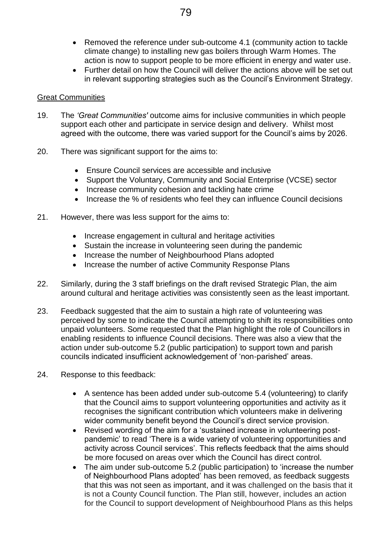- Removed the reference under sub-outcome 4.1 (community action to tackle climate change) to installing new gas boilers through Warm Homes. The action is now to support people to be more efficient in energy and water use.
- Further detail on how the Council will deliver the actions above will be set out in relevant supporting strategies such as the Council's Environment Strategy.

#### Great Communities

- 19. The *'Great Communities'* outcome aims for inclusive communities in which people support each other and participate in service design and delivery. Whilst most agreed with the outcome, there was varied support for the Council's aims by 2026.
- 20. There was significant support for the aims to:
	- Ensure Council services are accessible and inclusive
	- Support the Voluntary, Community and Social Enterprise (VCSE) sector
	- Increase community cohesion and tackling hate crime
	- Increase the % of residents who feel they can influence Council decisions
- 21. However, there was less support for the aims to:
	- Increase engagement in cultural and heritage activities
	- Sustain the increase in volunteering seen during the pandemic
	- Increase the number of Neighbourhood Plans adopted
	- Increase the number of active Community Response Plans
- 22. Similarly, during the 3 staff briefings on the draft revised Strategic Plan, the aim around cultural and heritage activities was consistently seen as the least important.
- 23. Feedback suggested that the aim to sustain a high rate of volunteering was perceived by some to indicate the Council attempting to shift its responsibilities onto unpaid volunteers. Some requested that the Plan highlight the role of Councillors in enabling residents to influence Council decisions. There was also a view that the action under sub-outcome 5.2 (public participation) to support town and parish councils indicated insufficient acknowledgement of 'non-parished' areas.
- 24. Response to this feedback:
	- A sentence has been added under sub-outcome 5.4 (volunteering) to clarify that the Council aims to support volunteering opportunities and activity as it recognises the significant contribution which volunteers make in delivering wider community benefit beyond the Council's direct service provision.
	- Revised wording of the aim for a 'sustained increase in volunteering postpandemic' to read 'There is a wide variety of volunteering opportunities and activity across Council services'. This reflects feedback that the aims should be more focused on areas over which the Council has direct control.
	- The aim under sub-outcome 5.2 (public participation) to 'increase the number of Neighbourhood Plans adopted' has been removed, as feedback suggests that this was not seen as important, and it was challenged on the basis that it is not a County Council function. The Plan still, however, includes an action for the Council to support development of Neighbourhood Plans as this helps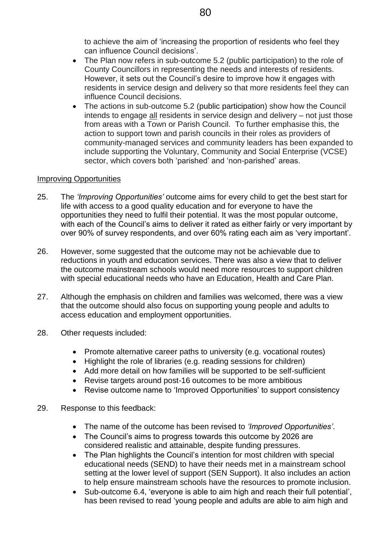to achieve the aim of 'increasing the proportion of residents who feel they can influence Council decisions'.

- The Plan now refers in sub-outcome 5.2 (public participation) to the role of County Councillors in representing the needs and interests of residents. However, it sets out the Council's desire to improve how it engages with residents in service design and delivery so that more residents feel they can influence Council decisions.
- The actions in sub-outcome 5.2 (public participation) show how the Council intends to engage all residents in service design and delivery – not just those from areas with a Town or Parish Council. To further emphasise this, the action to support town and parish councils in their roles as providers of community-managed services and community leaders has been expanded to include supporting the Voluntary, Community and Social Enterprise (VCSE) sector, which covers both 'parished' and 'non-parished' areas.

#### Improving Opportunities

- 25. The *'Improving Opportunities'* outcome aims for every child to get the best start for life with access to a good quality education and for everyone to have the opportunities they need to fulfil their potential. It was the most popular outcome, with each of the Council's aims to deliver it rated as either fairly or very important by over 90% of survey respondents, and over 60% rating each aim as 'very important'.
- 26. However, some suggested that the outcome may not be achievable due to reductions in youth and education services. There was also a view that to deliver the outcome mainstream schools would need more resources to support children with special educational needs who have an Education, Health and Care Plan.
- 27. Although the emphasis on children and families was welcomed, there was a view that the outcome should also focus on supporting young people and adults to access education and employment opportunities.
- 28. Other requests included:
	- Promote alternative career paths to university (e.g. vocational routes)
	- Highlight the role of libraries (e.g. reading sessions for children)
	- Add more detail on how families will be supported to be self-sufficient
	- Revise targets around post-16 outcomes to be more ambitious
	- Revise outcome name to 'Improved Opportunities' to support consistency
- 29. Response to this feedback:
	- The name of the outcome has been revised to *'Improved Opportunities'*.
	- The Council's aims to progress towards this outcome by 2026 are considered realistic and attainable, despite funding pressures.
	- The Plan highlights the Council's intention for most children with special educational needs (SEND) to have their needs met in a mainstream school setting at the lower level of support (SEN Support). It also includes an action to help ensure mainstream schools have the resources to promote inclusion.
	- Sub-outcome 6.4, 'everyone is able to aim high and reach their full potential', has been revised to read 'young people and adults are able to aim high and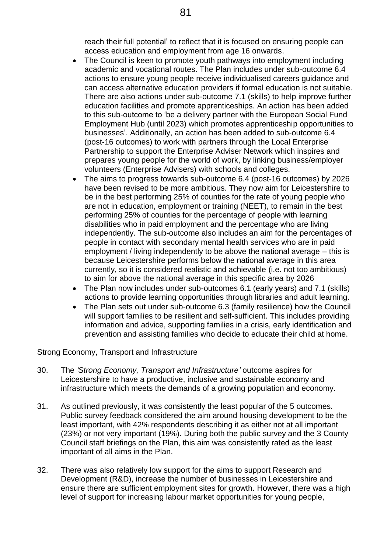reach their full potential' to reflect that it is focused on ensuring people can access education and employment from age 16 onwards.

- The Council is keen to promote youth pathways into employment including academic and vocational routes. The Plan includes under sub-outcome 6.4 actions to ensure young people receive individualised careers guidance and can access alternative education providers if formal education is not suitable. There are also actions under sub-outcome 7.1 (skills) to help improve further education facilities and promote apprenticeships. An action has been added to this sub-outcome to 'be a delivery partner with the European Social Fund Employment Hub (until 2023) which promotes apprenticeship opportunities to businesses'. Additionally, an action has been added to sub-outcome 6.4 (post-16 outcomes) to work with partners through the Local Enterprise Partnership to support the Enterprise Adviser Network which inspires and prepares young people for the world of work, by linking business/employer volunteers (Enterprise Advisers) with schools and colleges.
- The aims to progress towards sub-outcome 6.4 (post-16 outcomes) by 2026 have been revised to be more ambitious. They now aim for Leicestershire to be in the best performing 25% of counties for the rate of young people who are not in education, employment or training (NEET), to remain in the best performing 25% of counties for the percentage of people with learning disabilities who in paid employment and the percentage who are living independently. The sub-outcome also includes an aim for the percentages of people in contact with secondary mental health services who are in paid employment / living independently to be above the national average – this is because Leicestershire performs below the national average in this area currently, so it is considered realistic and achievable (i.e. not too ambitious) to aim for above the national average in this specific area by 2026
- The Plan now includes under sub-outcomes 6.1 (early years) and 7.1 (skills) actions to provide learning opportunities through libraries and adult learning.
- The Plan sets out under sub-outcome 6.3 (family resilience) how the Council will support families to be resilient and self-sufficient. This includes providing information and advice, supporting families in a crisis, early identification and prevention and assisting families who decide to educate their child at home.

#### Strong Economy, Transport and Infrastructure

- 30. The *'Strong Economy, Transport and Infrastructure'* outcome aspires for Leicestershire to have a productive, inclusive and sustainable economy and infrastructure which meets the demands of a growing population and economy.
- 31. As outlined previously, it was consistently the least popular of the 5 outcomes. Public survey feedback considered the aim around housing development to be the least important, with 42% respondents describing it as either not at all important (23%) or not very important (19%). During both the public survey and the 3 County Council staff briefings on the Plan, this aim was consistently rated as the least important of all aims in the Plan.
- 32. There was also relatively low support for the aims to support Research and Development (R&D), increase the number of businesses in Leicestershire and ensure there are sufficient employment sites for growth. However, there was a high level of support for increasing labour market opportunities for young people,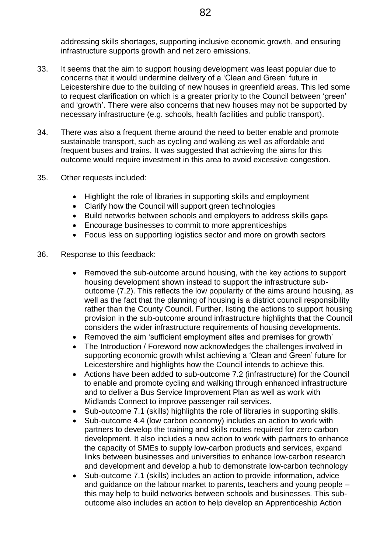addressing skills shortages, supporting inclusive economic growth, and ensuring infrastructure supports growth and net zero emissions.

- 33. It seems that the aim to support housing development was least popular due to concerns that it would undermine delivery of a 'Clean and Green' future in Leicestershire due to the building of new houses in greenfield areas. This led some to request clarification on which is a greater priority to the Council between 'green' and 'growth'. There were also concerns that new houses may not be supported by necessary infrastructure (e.g. schools, health facilities and public transport).
- 34. There was also a frequent theme around the need to better enable and promote sustainable transport, such as cycling and walking as well as affordable and frequent buses and trains. It was suggested that achieving the aims for this outcome would require investment in this area to avoid excessive congestion.
- 35. Other requests included:
	- Highlight the role of libraries in supporting skills and employment
	- Clarify how the Council will support green technologies
	- Build networks between schools and employers to address skills gaps
	- Encourage businesses to commit to more apprenticeships
	- Focus less on supporting logistics sector and more on growth sectors
- 36. Response to this feedback:
	- Removed the sub-outcome around housing, with the key actions to support housing development shown instead to support the infrastructure suboutcome (7.2). This reflects the low popularity of the aims around housing, as well as the fact that the planning of housing is a district council responsibility rather than the County Council. Further, listing the actions to support housing provision in the sub-outcome around infrastructure highlights that the Council considers the wider infrastructure requirements of housing developments.
	- Removed the aim 'sufficient employment sites and premises for growth'
	- The Introduction / Foreword now acknowledges the challenges involved in supporting economic growth whilst achieving a 'Clean and Green' future for Leicestershire and highlights how the Council intends to achieve this.
	- Actions have been added to sub-outcome 7.2 (infrastructure) for the Council to enable and promote cycling and walking through enhanced infrastructure and to deliver a Bus Service Improvement Plan as well as work with Midlands Connect to improve passenger rail services.
	- Sub-outcome 7.1 (skills) highlights the role of libraries in supporting skills.
	- Sub-outcome 4.4 (low carbon economy) includes an action to work with partners to develop the training and skills routes required for zero carbon development. It also includes a new action to work with partners to enhance the capacity of SMEs to supply low-carbon products and services, expand links between businesses and universities to enhance low-carbon research and development and develop a hub to demonstrate low-carbon technology
	- Sub-outcome 7.1 (skills) includes an action to provide information, advice and guidance on the labour market to parents, teachers and young people – this may help to build networks between schools and businesses. This suboutcome also includes an action to help develop an Apprenticeship Action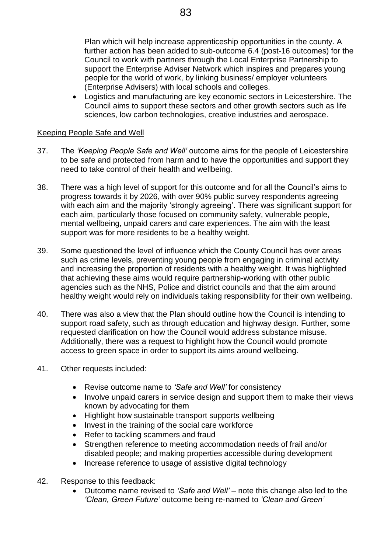Plan which will help increase apprenticeship opportunities in the county. A further action has been added to sub-outcome 6.4 (post-16 outcomes) for the Council to work with partners through the Local Enterprise Partnership to support the Enterprise Adviser Network which inspires and prepares young people for the world of work, by linking business/ employer volunteers (Enterprise Advisers) with local schools and colleges.

 Logistics and manufacturing are key economic sectors in Leicestershire. The Council aims to support these sectors and other growth sectors such as life sciences, low carbon technologies, creative industries and aerospace.

#### Keeping People Safe and Well

- 37. The *'Keeping People Safe and Well'* outcome aims for the people of Leicestershire to be safe and protected from harm and to have the opportunities and support they need to take control of their health and wellbeing.
- 38. There was a high level of support for this outcome and for all the Council's aims to progress towards it by 2026, with over 90% public survey respondents agreeing with each aim and the majority 'strongly agreeing'. There was significant support for each aim, particularly those focused on community safety, vulnerable people, mental wellbeing, unpaid carers and care experiences. The aim with the least support was for more residents to be a healthy weight.
- 39. Some questioned the level of influence which the County Council has over areas such as crime levels, preventing young people from engaging in criminal activity and increasing the proportion of residents with a healthy weight. It was highlighted that achieving these aims would require partnership-working with other public agencies such as the NHS, Police and district councils and that the aim around healthy weight would rely on individuals taking responsibility for their own wellbeing.
- 40. There was also a view that the Plan should outline how the Council is intending to support road safety, such as through education and highway design. Further, some requested clarification on how the Council would address substance misuse. Additionally, there was a request to highlight how the Council would promote access to green space in order to support its aims around wellbeing.
- 41. Other requests included:
	- Revise outcome name to *'Safe and Well'* for consistency
	- Involve unpaid carers in service design and support them to make their views known by advocating for them
	- Highlight how sustainable transport supports wellbeing
	- Invest in the training of the social care workforce
	- Refer to tackling scammers and fraud
	- Strengthen reference to meeting accommodation needs of frail and/or disabled people; and making properties accessible during development
	- Increase reference to usage of assistive digital technology
- 42. Response to this feedback:
	- Outcome name revised to *'Safe and Well'* note this change also led to the *'Clean, Green Future'* outcome being re-named to *'Clean and Green'*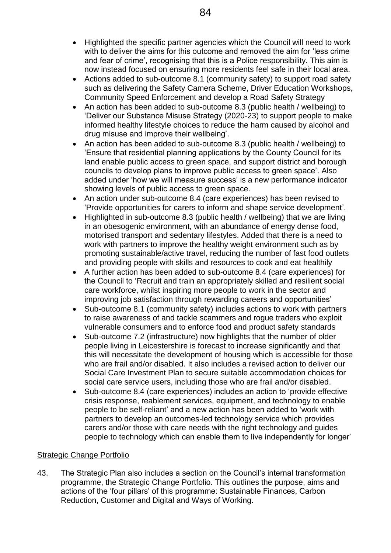- Highlighted the specific partner agencies which the Council will need to work with to deliver the aims for this outcome and removed the aim for 'less crime and fear of crime', recognising that this is a Police responsibility. This aim is now instead focused on ensuring more residents feel safe in their local area.
- Actions added to sub-outcome 8.1 (community safety) to support road safety such as delivering the Safety Camera Scheme, Driver Education Workshops, Community Speed Enforcement and develop a Road Safety Strategy
- An action has been added to sub-outcome 8.3 (public health / wellbeing) to 'Deliver our Substance Misuse Strategy (2020-23) to support people to make informed healthy lifestyle choices to reduce the harm caused by alcohol and drug misuse and improve their wellbeing'.
- An action has been added to sub-outcome 8.3 (public health / wellbeing) to 'Ensure that residential planning applications by the County Council for its land enable public access to green space, and support district and borough councils to develop plans to improve public access to green space'. Also added under 'how we will measure success' is a new performance indicator showing levels of public access to green space.
- An action under sub-outcome 8.4 (care experiences) has been revised to 'Provide opportunities for carers to inform and shape service development'.
- Highlighted in sub-outcome 8.3 (public health / wellbeing) that we are living in an obesogenic environment, with an abundance of energy dense food, motorised transport and sedentary lifestyles. Added that there is a need to work with partners to improve the healthy weight environment such as by promoting sustainable/active travel, reducing the number of fast food outlets and providing people with skills and resources to cook and eat healthily
- A further action has been added to sub-outcome 8.4 (care experiences) for the Council to 'Recruit and train an appropriately skilled and resilient social care workforce, whilst inspiring more people to work in the sector and improving job satisfaction through rewarding careers and opportunities'
- Sub-outcome 8.1 (community safety) includes actions to work with partners to raise awareness of and tackle scammers and rogue traders who exploit vulnerable consumers and to enforce food and product safety standards
- Sub-outcome 7.2 (infrastructure) now highlights that the number of older people living in Leicestershire is forecast to increase significantly and that this will necessitate the development of housing which is accessible for those who are frail and/or disabled. It also includes a revised action to deliver our Social Care Investment Plan to secure suitable accommodation choices for social care service users, including those who are frail and/or disabled.
- Sub-outcome 8.4 (care experiences) includes an action to 'provide effective crisis response, reablement services, equipment, and technology to enable people to be self-reliant' and a new action has been added to 'work with partners to develop an outcomes-led technology service which provides carers and/or those with care needs with the right technology and guides people to technology which can enable them to live independently for longer'

## Strategic Change Portfolio

43. The Strategic Plan also includes a section on the Council's internal transformation programme, the Strategic Change Portfolio. This outlines the purpose, aims and actions of the 'four pillars' of this programme: Sustainable Finances, Carbon Reduction, Customer and Digital and Ways of Working.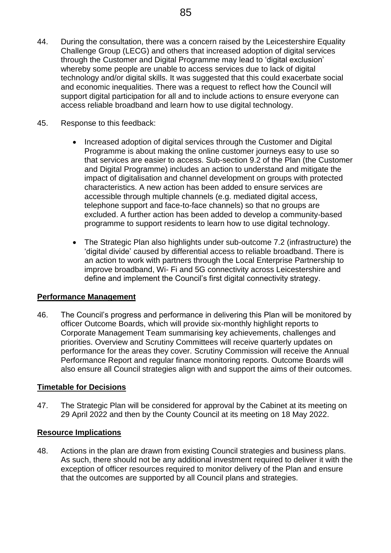- 44. During the consultation, there was a concern raised by the Leicestershire Equality Challenge Group (LECG) and others that increased adoption of digital services through the Customer and Digital Programme may lead to 'digital exclusion' whereby some people are unable to access services due to lack of digital technology and/or digital skills. It was suggested that this could exacerbate social and economic inequalities. There was a request to reflect how the Council will support digital participation for all and to include actions to ensure everyone can access reliable broadband and learn how to use digital technology.
- 45. Response to this feedback:
	- Increased adoption of digital services through the Customer and Digital Programme is about making the online customer journeys easy to use so that services are easier to access. Sub-section 9.2 of the Plan (the Customer and Digital Programme) includes an action to understand and mitigate the impact of digitalisation and channel development on groups with protected characteristics. A new action has been added to ensure services are accessible through multiple channels (e.g. mediated digital access, telephone support and face-to-face channels) so that no groups are excluded. A further action has been added to develop a community-based programme to support residents to learn how to use digital technology.
	- The Strategic Plan also highlights under sub-outcome 7.2 (infrastructure) the 'digital divide' caused by differential access to reliable broadband. There is an action to work with partners through the Local Enterprise Partnership to improve broadband, Wi- Fi and 5G connectivity across Leicestershire and define and implement the Council's first digital connectivity strategy.

## **Performance Management**

46. The Council's progress and performance in delivering this Plan will be monitored by officer Outcome Boards, which will provide six-monthly highlight reports to Corporate Management Team summarising key achievements, challenges and priorities. Overview and Scrutiny Committees will receive quarterly updates on performance for the areas they cover. Scrutiny Commission will receive the Annual Performance Report and regular finance monitoring reports. Outcome Boards will also ensure all Council strategies align with and support the aims of their outcomes.

#### **Timetable for Decisions**

47. The Strategic Plan will be considered for approval by the Cabinet at its meeting on 29 April 2022 and then by the County Council at its meeting on 18 May 2022.

#### **Resource Implications**

48. Actions in the plan are drawn from existing Council strategies and business plans. As such, there should not be any additional investment required to deliver it with the exception of officer resources required to monitor delivery of the Plan and ensure that the outcomes are supported by all Council plans and strategies.